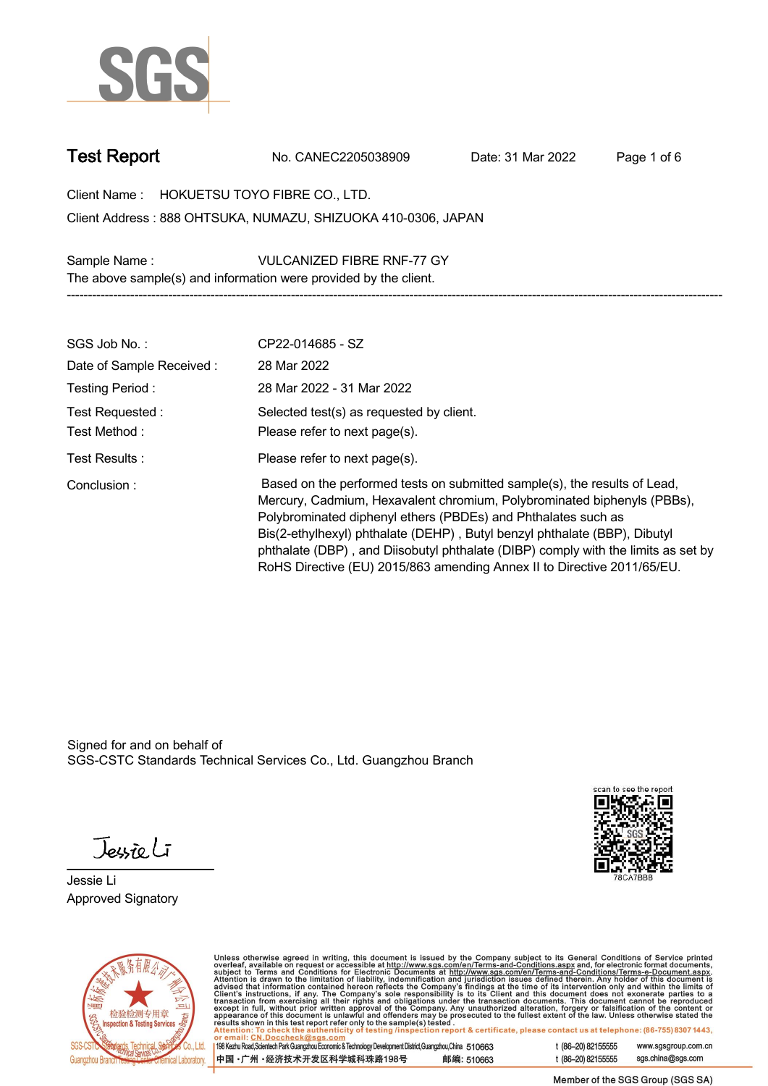

**Test Report. No. CANEC2205038909 . Date: 31 Mar 2022 . Page 1 of 6.**

**Client Name : HOKUETSU TOYO FIBRE CO., LTD. .**

**888 OHTSUKA, NUMAZU, SHIZUOKA 410-0306, JAPAN . Client Address : Sample Name : VULCANIZED FIBRE RNF-77 GY .**

**The above sample(s) and information were provided by the client.**

| SGS Job No.:             | CP22-014685 - SZ                                                                                                                                                                                                                                                                                                                                                                                                                                                   |
|--------------------------|--------------------------------------------------------------------------------------------------------------------------------------------------------------------------------------------------------------------------------------------------------------------------------------------------------------------------------------------------------------------------------------------------------------------------------------------------------------------|
| Date of Sample Received: | 28 Mar 2022                                                                                                                                                                                                                                                                                                                                                                                                                                                        |
| Testing Period:          | 28 Mar 2022 - 31 Mar 2022                                                                                                                                                                                                                                                                                                                                                                                                                                          |
| Test Requested:          | Selected test(s) as requested by client.                                                                                                                                                                                                                                                                                                                                                                                                                           |
| Test Method:             | Please refer to next page(s).                                                                                                                                                                                                                                                                                                                                                                                                                                      |
| Test Results :           | Please refer to next page(s).                                                                                                                                                                                                                                                                                                                                                                                                                                      |
| Conclusion:              | Based on the performed tests on submitted sample(s), the results of Lead,<br>Mercury, Cadmium, Hexavalent chromium, Polybrominated biphenyls (PBBs),<br>Polybrominated diphenyl ethers (PBDEs) and Phthalates such as<br>Bis(2-ethylhexyl) phthalate (DEHP), Butyl benzyl phthalate (BBP), Dibutyl<br>phthalate (DBP), and Diisobutyl phthalate (DIBP) comply with the limits as set by<br>RoHS Directive (EU) 2015/863 amending Annex II to Directive 2011/65/EU. |

**-----------------------------------------------------------------------------------------------------------------------------------------------------------**

Signed for and on behalf of SGS-CSTC Standards Technical Services Co., Ltd. Guangzhou Branch.

Jessieli

**Jessie Li. Approved Signatory .**





Unless otherwise agreed in writing, this document is issued by the Company subject to its General Conditions of Service printed<br>overleaf, available on request or accessible at http://www.sgs.com/en/Terms-and-Conditions.as

| 198 Kezhu Road, Scientech Park Guangzhou Economic & Technology Development District, Guangzhou, China 510663 |            |
|--------------------------------------------------------------------------------------------------------------|------------|
| 中国 •广州 •经济技术开发区科学城科珠路198号                                                                                    | 邮编: 510663 |

t (86-20) 82155555 www.sgsgroup.com.cn sgs.china@sgs.com t (86-20) 82155555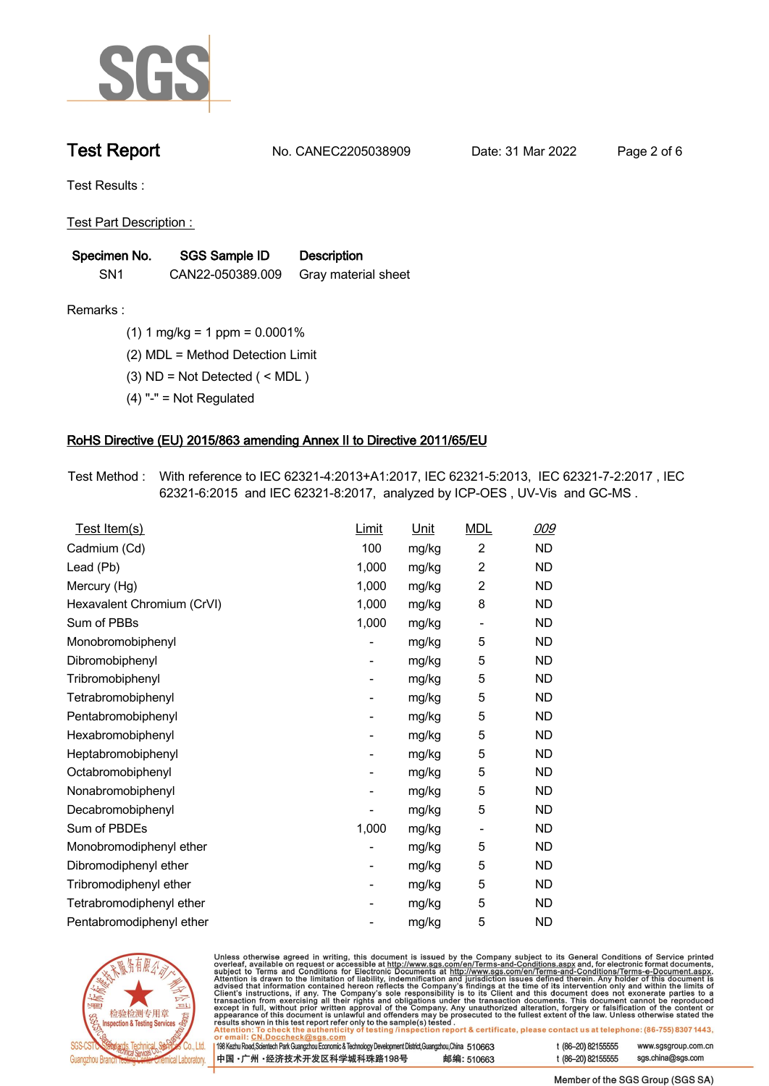

**Test Report. No. CANEC2205038909 . Date: 31 Mar 2022 . Page 2 of 6.**

**Test Results :.**

**Test Part Description : .**

| Specimen No.    | <b>SGS Sample ID</b> | <b>Description</b>  |
|-----------------|----------------------|---------------------|
| SN <sub>1</sub> | CAN22-050389.009     | Gray material sheet |

- **Remarks :.(1) 1 mg/kg = 1 ppm = 0.0001% .**
	- **(2) MDL = Method Detection Limit .**
	- **(3) ND = Not Detected ( < MDL ) .**
	- **(4) "-" = Not Regulated .**

## **RoHS Directive (EU) 2015/863 amending Annex II to Directive 2011/65/EU.**

**Test Method :. With reference to IEC 62321-4:2013+A1:2017, IEC 62321-5:2013, IEC 62321-7-2:2017 , IEC 62321-6:2015 and IEC 62321-8:2017, analyzed by ICP-OES , UV-Vis and GC-MS . .**

| Test Item(s)               | <b>Limit</b> | <u>Unit</u> | <b>MDL</b>                   | 009       |
|----------------------------|--------------|-------------|------------------------------|-----------|
| Cadmium (Cd)               | 100          | mg/kg       | $\overline{c}$               | <b>ND</b> |
| Lead (Pb)                  | 1,000        | mg/kg       | $\overline{2}$               | <b>ND</b> |
| Mercury (Hg)               | 1,000        | mg/kg       | $\overline{2}$               | <b>ND</b> |
| Hexavalent Chromium (CrVI) | 1,000        | mg/kg       | 8                            | <b>ND</b> |
| Sum of PBBs                | 1,000        | mg/kg       | $\overline{\phantom{0}}$     | <b>ND</b> |
| Monobromobiphenyl          |              | mg/kg       | 5                            | <b>ND</b> |
| Dibromobiphenyl            | -            | mg/kg       | 5                            | <b>ND</b> |
| Tribromobiphenyl           | -            | mg/kg       | 5                            | <b>ND</b> |
| Tetrabromobiphenyl         |              | mg/kg       | 5                            | <b>ND</b> |
| Pentabromobiphenyl         | -            | mg/kg       | 5                            | <b>ND</b> |
| Hexabromobiphenyl          |              | mg/kg       | 5                            | <b>ND</b> |
| Heptabromobiphenyl         |              | mg/kg       | 5                            | <b>ND</b> |
| Octabromobiphenyl          | -            | mg/kg       | 5                            | <b>ND</b> |
| Nonabromobiphenyl          |              | mg/kg       | 5                            | <b>ND</b> |
| Decabromobiphenyl          |              | mg/kg       | 5                            | <b>ND</b> |
| Sum of PBDEs               | 1,000        | mg/kg       | $\qquad \qquad \blacksquare$ | <b>ND</b> |
| Monobromodiphenyl ether    |              | mg/kg       | 5                            | <b>ND</b> |
| Dibromodiphenyl ether      |              | mg/kg       | 5                            | <b>ND</b> |
| Tribromodiphenyl ether     | -            | mg/kg       | 5                            | <b>ND</b> |
| Tetrabromodiphenyl ether   |              | mg/kg       | 5                            | <b>ND</b> |
| Pentabromodiphenyl ether   |              | mg/kg       | 5                            | <b>ND</b> |



Unless otherwise agreed in writing, this document is issued by the Company subject to its General Conditions of Service printed overleaf, available on request or accessible at http://www.sgs.com/en/Terms-and-Conditions.as

| or email: CN.Doccheck@sgs.com                                                                                |            |                    |                     |
|--------------------------------------------------------------------------------------------------------------|------------|--------------------|---------------------|
| 198 Kezhu Road,Scientech Park Guangzhou Economic & Technology Development District,Guangzhou,China   51 O663 |            | $(86-20)82155555$  | www.sgsgroup.com.cn |
| 中国 •广州 •经济技术开发区科学城科珠路198号 »                                                                                  | 邮编: 510663 | t (86–20) 82155555 | sgs.china@sgs.com   |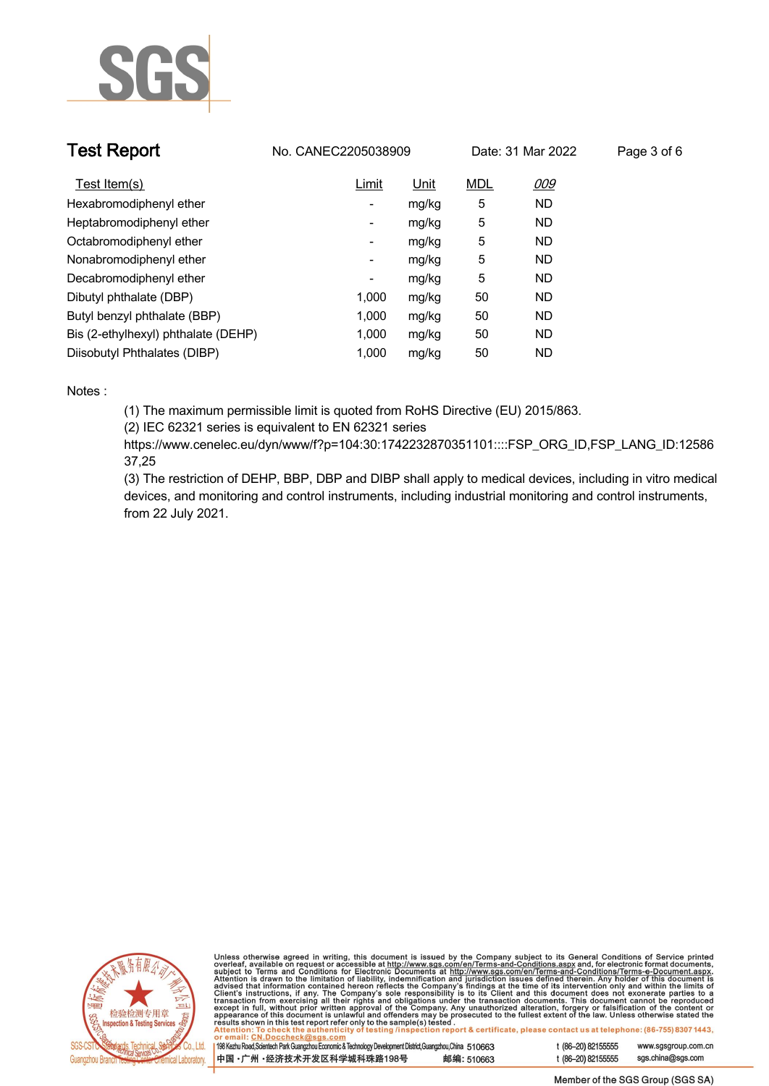

| <b>Test Report</b>                  | No. CANEC2205038909      |             |            | Date: 31 Mar 2022 | Page 3 of 6 |
|-------------------------------------|--------------------------|-------------|------------|-------------------|-------------|
| Test Item(s)                        | Limit                    | <u>Unit</u> | <b>MDL</b> | <u>009</u>        |             |
| Hexabromodiphenyl ether             | ٠                        | mg/kg       | 5          | <b>ND</b>         |             |
| Heptabromodiphenyl ether            | ٠                        | mg/kg       | 5          | <b>ND</b>         |             |
| Octabromodiphenyl ether             | $\overline{\phantom{a}}$ | mg/kg       | 5          | <b>ND</b>         |             |
| Nonabromodiphenyl ether             | $\overline{\phantom{a}}$ | mg/kg       | 5          | <b>ND</b>         |             |
| Decabromodiphenyl ether             | -                        | mg/kg       | 5          | <b>ND</b>         |             |
| Dibutyl phthalate (DBP)             | 1.000                    | mg/kg       | 50         | <b>ND</b>         |             |
| Butyl benzyl phthalate (BBP)        | 1.000                    | mg/kg       | 50         | <b>ND</b>         |             |
| Bis (2-ethylhexyl) phthalate (DEHP) | 1.000                    | mg/kg       | 50         | <b>ND</b>         |             |
| Diisobutyl Phthalates (DIBP)        | 1.000                    | mg/kg       | 50         | ND                |             |

### **Notes :.**

**(1) The maximum permissible limit is quoted from RoHS Directive (EU) 2015/863.**

**(2) IEC 62321 series is equivalent to EN 62321 series**

**https://www.cenelec.eu/dyn/www/f?p=104:30:1742232870351101::::FSP\_ORG\_ID,FSP\_LANG\_ID:12586 37,25**

**(3) The restriction of DEHP, BBP, DBP and DIBP shall apply to medical devices, including in vitro medical devices, and monitoring and control instruments, including industrial monitoring and control instruments, from 22 July 2021..**



Unless otherwise agreed in writing, this document is issued by the Company subject to its General Conditions of Service printed<br>overleaf, available on request or accessible at http://www.sgs.com/en/Terms-and-Conditions.as

| 198 Kezhu Road,Scientech Park Guangzhou Economic & Technology Development District,Guangzhou,China 510663 |            |  |
|-----------------------------------------------------------------------------------------------------------|------------|--|
| 中国 •广州 •经济技术开发区科学城科珠路198号                                                                                 | 邮编: 510663 |  |

www.sgsgroup.com.cn

t (86-20) 82155555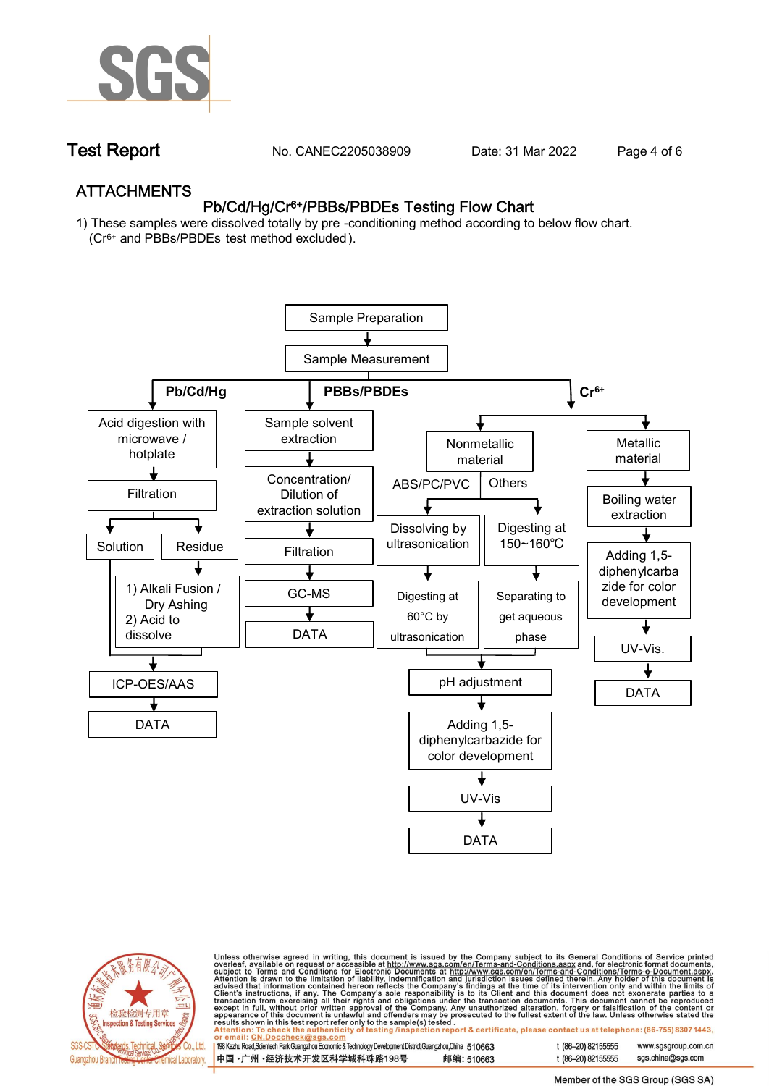

**Test Report. No. CANEC2205038909 . Date: 31 Mar 2022 . Page 4 of 6.**

## **ATTACHMENTS Pb/Cd/Hg/Cr6+/PBBs/PBDEs Testing Flow Chart**

**1) These samples were dissolved totally by pre -conditioning method according to below flow chart. (Cr6+ and PBBs/PBDEs test method excluded ).**





Unless otherwise agreed in writing, this document is issued by the Company subject to its General Conditions of Service printed<br>overleaf, available on request or accessible at http://www.sgs.com/en/Terms-and-Conditions.as

| 198 Kezhu Road,Scientech Park Guangzhou Economic & Technology Development District,Guangzhou,China 510663 |            |
|-----------------------------------------------------------------------------------------------------------|------------|
| 中国 •广州 •经济技术开发区科学城科珠路198号                                                                                 | 邮编: 510663 |

t (86-20) 82155555 sas.china@sas.com

www.sgsgroup.com.cn

t (86-20) 82155555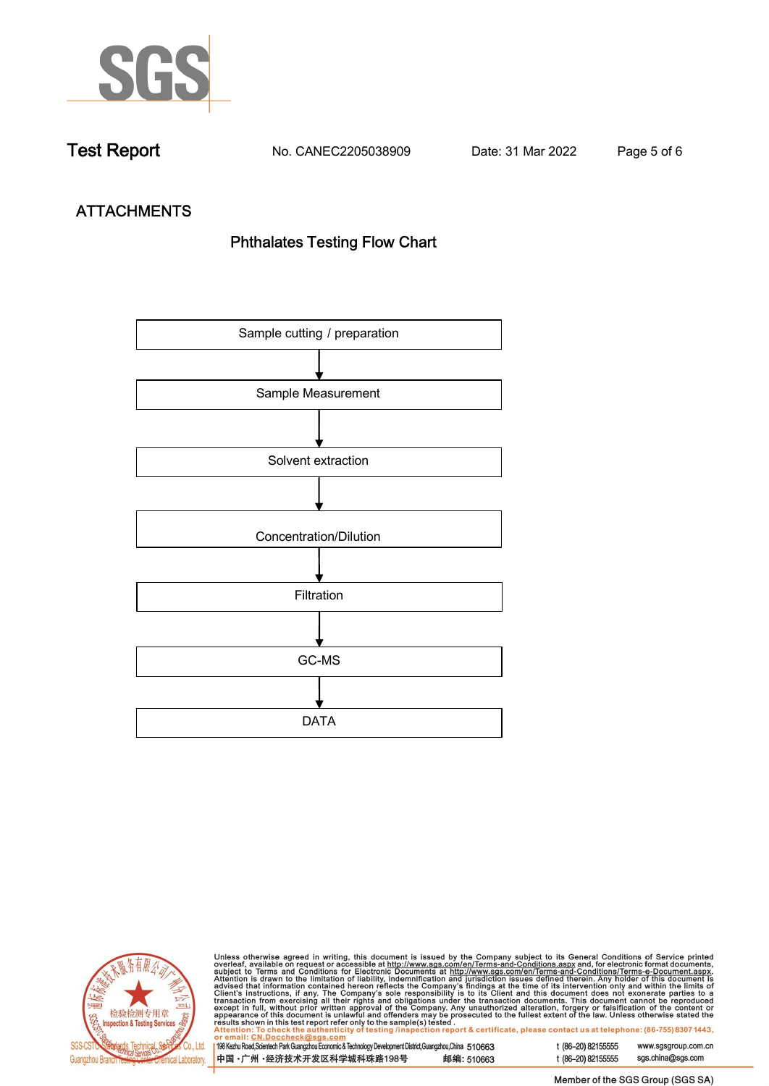

**Test Report. No. CANEC2205038909 . Date: 31 Mar 2022 . Page 5 of 6.**

# **ATTACHMENTS Phthalates Testing Flow Chart**





Unless otherwise agreed in writing, this document is issued by the Company subject to its General Conditions of Service printed<br>overleaf, available on request or accessible at http://www.sgs.com/en/Terms-and-Conditions.as

| <u>UI CIIIAII. CN.DUCCIICCRIWSUS.COIII</u>                                                                |            |
|-----------------------------------------------------------------------------------------------------------|------------|
| 198 Kezhu Road,Scientech Park Guangzhou Economic & Technology Development District,Guangzhou,China 510663 |            |
| 中国 •广州 •经济技术开发区科学城科珠路198号                                                                                 | 邮编: 510663 |

t (86-20) 82155555 www.sgsgroup.com.cn t (86-20) 82155555 sgs.china@sgs.com